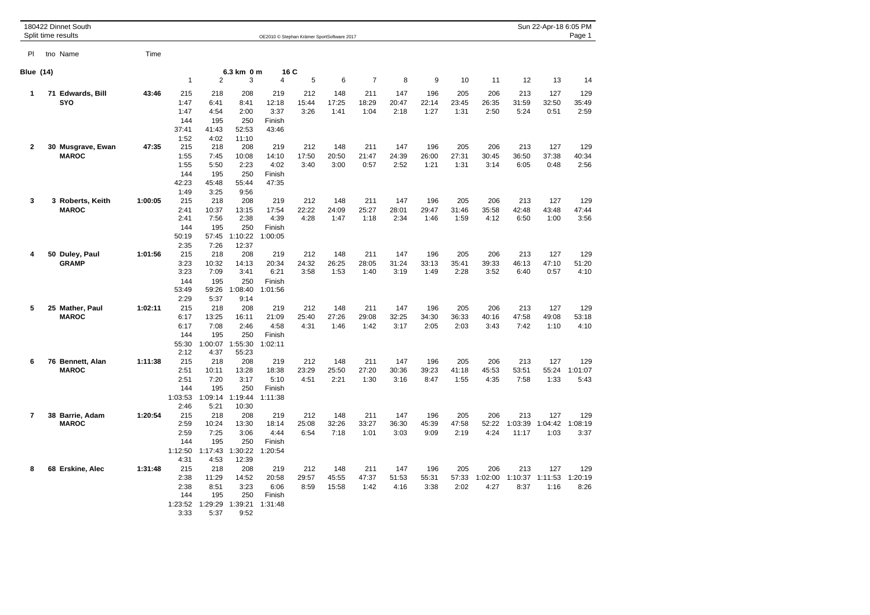|                  | 180422 Dinnet South<br>Split time results |         |                                                       |                                                        |                                                         | OE2010 @ Stephan Krämer SportSoftware 2017 |                      |                       |                      |                      |                      |                      |                        |                         | Sun 22-Apr-18 6:05 PM  | Page 1                 |
|------------------|-------------------------------------------|---------|-------------------------------------------------------|--------------------------------------------------------|---------------------------------------------------------|--------------------------------------------|----------------------|-----------------------|----------------------|----------------------|----------------------|----------------------|------------------------|-------------------------|------------------------|------------------------|
| PI.              | tno Name                                  | Time    |                                                       |                                                        |                                                         |                                            |                      |                       |                      |                      |                      |                      |                        |                         |                        |                        |
| <b>Blue (14)</b> |                                           |         |                                                       |                                                        | 6.3 km 0 m<br>16 C                                      |                                            |                      |                       |                      |                      |                      |                      |                        |                         |                        |                        |
|                  |                                           |         | $\mathbf{1}$                                          | $\overline{2}$                                         | 3                                                       | 4                                          | 5                    | 6                     | $\overline{7}$       | 8                    | 9                    | 10                   | 11                     | 12                      | 13                     | 14                     |
| 1                | 71 Edwards, Bill<br>SYO                   | 43:46   | 215<br>1:47<br>1:47                                   | 218<br>6:41<br>4:54                                    | 208<br>8:41<br>2:00                                     | 219<br>12:18<br>3:37                       | 212<br>15:44<br>3:26 | 148<br>17:25<br>1:41  | 211<br>18:29<br>1:04 | 147<br>20:47<br>2:18 | 196<br>22:14<br>1:27 | 205<br>23:45<br>1:31 | 206<br>26:35<br>2:50   | 213<br>31:59<br>5:24    | 127<br>32:50<br>0:51   | 129<br>35:49<br>2:59   |
|                  |                                           |         | 144<br>37:41<br>1:52                                  | 195<br>41:43<br>4:02                                   | 250<br>52:53<br>11:10                                   | Finish<br>43:46                            |                      |                       |                      |                      |                      |                      |                        |                         |                        |                        |
| $\mathbf{2}$     | 30 Musgrave, Ewan<br><b>MAROC</b>         | 47:35   | 215<br>1:55<br>1:55                                   | 218<br>7:45<br>5:50                                    | 208<br>10:08<br>2:23                                    | 219<br>14:10<br>4:02                       | 212<br>17:50<br>3:40 | 148<br>20:50<br>3:00  | 211<br>21:47<br>0:57 | 147<br>24:39<br>2:52 | 196<br>26:00<br>1:21 | 205<br>27:31<br>1:31 | 206<br>30:45<br>3:14   | 213<br>36:50<br>6:05    | 127<br>37:38<br>0:48   | 129<br>40:34<br>2:56   |
|                  |                                           |         | 144<br>42:23<br>1:49                                  | 195<br>45:48<br>3:25                                   | 250<br>55:44<br>9:56                                    | Finish<br>47:35                            |                      |                       |                      |                      |                      |                      |                        |                         |                        |                        |
| 3                | 3 Roberts, Keith<br><b>MAROC</b>          | 1:00:05 | 215<br>2:41<br>2:41<br>144                            | 218<br>10:37<br>7:56<br>195                            | 208<br>13:15<br>2:38<br>250                             | 219<br>17:54<br>4:39<br>Finish             | 212<br>22:22<br>4:28 | 148<br>24:09<br>1:47  | 211<br>25:27<br>1:18 | 147<br>28:01<br>2:34 | 196<br>29:47<br>1:46 | 205<br>31:46<br>1:59 | 206<br>35:58<br>4:12   | 213<br>42:48<br>6:50    | 127<br>43:48<br>1:00   | 129<br>47:44<br>3:56   |
| 4                | 50 Duley, Paul                            | 1:01:56 | 50:19<br>2:35<br>215                                  | 57:45<br>7:26<br>218                                   | 1:10:22<br>12:37<br>208                                 | 1:00:05<br>219                             | 212                  | 148                   | 211                  | 147                  | 196                  | 205                  | 206                    | 213                     | 127                    | 129                    |
|                  | <b>GRAMP</b>                              |         | 3:23<br>3:23<br>144<br>53:49                          | 10:32<br>7:09<br>195<br>59:26                          | 14:13<br>3:41<br>250<br>1:08:40                         | 20:34<br>6:21<br>Finish<br>1:01:56         | 24:32<br>3:58        | 26:25<br>1:53         | 28:05<br>1:40        | 31:24<br>3:19        | 33:13<br>1:49        | 35:41<br>2:28        | 39:33<br>3:52          | 46:13<br>6:40           | 47:10<br>0:57          | 51:20<br>4:10          |
| 5                | 25 Mather, Paul<br><b>MAROC</b>           | 1:02:11 | 2:29<br>215<br>6:17<br>6:17<br>144<br>55:30           | 5:37<br>218<br>13:25<br>7:08<br>195<br>1:00:07         | 9:14<br>208<br>16:11<br>2:46<br>250<br>1:55:30          | 219<br>21:09<br>4:58<br>Finish<br>1:02:11  | 212<br>25:40<br>4:31 | 148<br>27:26<br>1:46  | 211<br>29:08<br>1:42 | 147<br>32:25<br>3:17 | 196<br>34:30<br>2:05 | 205<br>36:33<br>2:03 | 206<br>40:16<br>3:43   | 213<br>47:58<br>7:42    | 127<br>49:08<br>1:10   | 129<br>53:18<br>4:10   |
| 6                | 76 Bennett, Alan<br><b>MAROC</b>          | 1:11:38 | 2:12<br>215<br>2:51<br>2:51<br>144<br>1:03:53         | 4:37<br>218<br>10:11<br>7:20<br>195<br>1:09:14         | 55:23<br>208<br>13:28<br>3:17<br>250<br>1:19:44         | 219<br>18:38<br>5:10<br>Finish<br>1:11:38  | 212<br>23:29<br>4:51 | 148<br>25:50<br>2:21  | 211<br>27:20<br>1:30 | 147<br>30:36<br>3:16 | 196<br>39:23<br>8:47 | 205<br>41:18<br>1:55 | 206<br>45:53<br>4:35   | 213<br>53:51<br>7:58    | 127<br>55:24<br>1:33   | 129<br>1:01:07<br>5:43 |
| 7                | 38 Barrie, Adam<br><b>MAROC</b>           | 1:20:54 | 2:46<br>215<br>2:59<br>2:59<br>144<br>1:12:50         | 5:21<br>218<br>10:24<br>7:25<br>195<br>1:17:43         | 10:30<br>208<br>13:30<br>3:06<br>250<br>1:30:22         | 219<br>18:14<br>4:44<br>Finish<br>1:20:54  | 212<br>25:08<br>6:54 | 148<br>32:26<br>7:18  | 211<br>33:27<br>1:01 | 147<br>36:30<br>3:03 | 196<br>45:39<br>9:09 | 205<br>47:58<br>2:19 | 206<br>52:22<br>4:24   | 213<br>1:03:39<br>11:17 | 127<br>1:04:42<br>1:03 | 129<br>1:08:19<br>3:37 |
| 8                | 68 Erskine, Alec                          | 1:31:48 | 4:31<br>215<br>2:38<br>2:38<br>144<br>1:23:52<br>3:33 | 4:53<br>218<br>11:29<br>8:51<br>195<br>1:29:29<br>5:37 | 12:39<br>208<br>14:52<br>3:23<br>250<br>1:39:21<br>9:52 | 219<br>20:58<br>6:06<br>Finish<br>1:31:48  | 212<br>29:57<br>8:59 | 148<br>45:55<br>15:58 | 211<br>47:37<br>1:42 | 147<br>51:53<br>4:16 | 196<br>55:31<br>3:38 | 205<br>57:33<br>2:02 | 206<br>1:02:00<br>4:27 | 213<br>1:10:37<br>8:37  | 127<br>1:11:53<br>1:16 | 129<br>1:20:19<br>8:26 |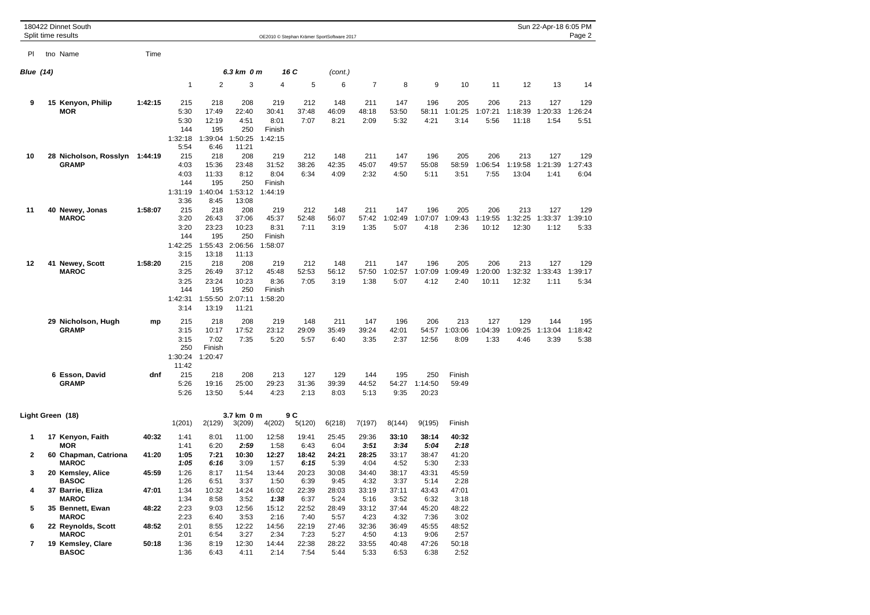|                     | 180422 Dinnet South<br>Split time results               |                |                                                       |                                                          |                                                           |                                           |                        | OE2010 @ Stephan Krämer SportSoftware 2017 |                        |                        |                         |                        |                         |                         | Sun 22-Apr-18 6:05 PM          | Page 2                 |
|---------------------|---------------------------------------------------------|----------------|-------------------------------------------------------|----------------------------------------------------------|-----------------------------------------------------------|-------------------------------------------|------------------------|--------------------------------------------|------------------------|------------------------|-------------------------|------------------------|-------------------------|-------------------------|--------------------------------|------------------------|
| PI                  | tno Name                                                | Time           |                                                       |                                                          |                                                           |                                           |                        |                                            |                        |                        |                         |                        |                         |                         |                                |                        |
| <b>Blue (14)</b>    |                                                         |                |                                                       |                                                          | 6.3 km 0 m                                                |                                           | 16 C                   | (cont.)                                    |                        |                        |                         |                        |                         |                         |                                |                        |
|                     |                                                         |                | $\mathbf{1}$                                          | $\overline{2}$                                           | 3                                                         | $\overline{4}$                            | 5                      | 6                                          | $\overline{7}$         | 8                      | 9                       | 10                     | 11                      | 12                      | 13                             | 14                     |
| 9                   | 15 Kenyon, Philip<br><b>MOR</b>                         | 1:42:15        | 215<br>5:30<br>5:30<br>144<br>1:32:18                 | 218<br>17:49<br>12:19<br>195<br>1:39:04                  | 208<br>22:40<br>4:51<br>250<br>1:50:25                    | 219<br>30:41<br>8:01<br>Finish<br>1:42:15 | 212<br>37:48<br>7:07   | 148<br>46:09<br>8:21                       | 211<br>48:18<br>2:09   | 147<br>53:50<br>5:32   | 196<br>58:11<br>4:21    | 205<br>1:01:25<br>3:14 | 206<br>1:07:21<br>5:56  | 213<br>1:18:39<br>11:18 | 127<br>1:20:33<br>1:54         | 129<br>1:26:24<br>5:51 |
| 10                  | 28 Nicholson, Rosslyn 1:44:19<br><b>GRAMP</b>           |                | 5:54<br>215<br>4:03<br>4:03<br>144<br>1:31:19         | 6:46<br>218<br>15:36<br>11:33<br>195<br>1:40:04          | 11:21<br>208<br>23:48<br>8:12<br>250<br>1:53:12           | 219<br>31:52<br>8:04<br>Finish<br>1:44:19 | 212<br>38:26<br>6:34   | 148<br>42:35<br>4:09                       | 211<br>45:07<br>2:32   | 147<br>49:57<br>4:50   | 196<br>55:08<br>5:11    | 205<br>58:59<br>3:51   | 206<br>1:06:54<br>7:55  | 213<br>1:19:58<br>13:04 | 127<br>1:21:39<br>1:41         | 129<br>1:27:43<br>6:04 |
| 11                  | 40 Newey, Jonas<br><b>MAROC</b>                         | 1:58:07        | 3:36<br>215<br>3:20<br>3:20<br>144<br>1:42:25<br>3:15 | 8:45<br>218<br>26:43<br>23:23<br>195<br>1:55:43<br>13:18 | 13:08<br>208<br>37:06<br>10:23<br>250<br>2:06:56<br>11:13 | 219<br>45:37<br>8:31<br>Finish<br>1:58:07 | 212<br>52:48<br>7:11   | 148<br>56:07<br>3:19                       | 211<br>57:42<br>1:35   | 147<br>1:02:49<br>5:07 | 196<br>1:07:07<br>4:18  | 205<br>1:09:43<br>2:36 | 206<br>1:19:55<br>10:12 | 213<br>1:32:25<br>12:30 | 127<br>1:33:37<br>1:12         | 129<br>1:39:10<br>5:33 |
| 12                  | 41 Newey, Scott<br><b>MAROC</b>                         | 1:58:20        | 215<br>3:25<br>3:25<br>144<br>1:42:31<br>3:14         | 218<br>26:49<br>23:24<br>195<br>1:55:50<br>13:19         | 208<br>37:12<br>10:23<br>250<br>2:07:11<br>11:21          | 219<br>45:48<br>8:36<br>Finish<br>1:58:20 | 212<br>52:53<br>7:05   | 148<br>56:12<br>3:19                       | 211<br>57:50<br>1:38   | 147<br>1:02:57<br>5:07 | 196<br>1:07:09<br>4:12  | 205<br>1:09:49<br>2:40 | 206<br>1:20:00<br>10:11 | 213<br>12:32            | 127<br>1:32:32 1:33:43<br>1:11 | 129<br>1:39:17<br>5:34 |
|                     | 29 Nicholson, Hugh<br><b>GRAMP</b>                      | mp             | 215<br>3:15<br>3:15<br>250<br>1:30:24<br>11:42        | 218<br>10:17<br>7:02<br>Finish<br>1:20:47                | 208<br>17:52<br>7:35                                      | 219<br>23:12<br>5:20                      | 148<br>29:09<br>5:57   | 211<br>35:49<br>6:40                       | 147<br>39:24<br>3:35   | 196<br>42:01<br>2:37   | 206<br>54:57<br>12:56   | 213<br>1:03:06<br>8:09 | 127<br>1:04:39<br>1:33  | 129<br>1:09:25<br>4:46  | 144<br>1:13:04<br>3:39         | 195<br>1:18:42<br>5:38 |
|                     | 6 Esson, David<br><b>GRAMP</b>                          | dnf            | 215<br>5:26<br>5:26                                   | 218<br>19:16<br>13:50                                    | 208<br>25:00<br>5:44                                      | 213<br>29:23<br>4:23                      | 127<br>31:36<br>2:13   | 129<br>39:39<br>8:03                       | 144<br>44:52<br>5:13   | 195<br>54:27<br>9:35   | 250<br>1:14:50<br>20:23 | Finish<br>59:49        |                         |                         |                                |                        |
|                     | Light Green (18)                                        |                | 1(201)                                                | 2(129)                                                   | 3.7 km 0 m<br>3(209)                                      | 4(202)                                    | 9 C<br>5(120)          | 6(218)                                     | 7(197)                 | 8(144)                 | 9(195)                  | Finish                 |                         |                         |                                |                        |
| 1                   | 17 Kenyon, Faith                                        | 40:32          | 1:41                                                  | 8:01                                                     | 11:00                                                     | 12:58                                     | 19:41                  | 25:45                                      | 29:36                  | 33:10                  | 38:14                   | 40:32                  |                         |                         |                                |                        |
| $\mathbf{2}$        | <b>MOR</b><br>60 Chapman, Catriona                      | 41:20          | 1:41<br>1:05                                          | 6:20<br>7:21                                             | 2:59<br>10:30                                             | 1:58<br>12:27                             | 6:43<br>18:42          | 6:04<br>24:21                              | 3:51<br>28:25          | 3:34<br>33:17          | 5:04<br>38:47           | 2:18<br>41:20          |                         |                         |                                |                        |
| 3                   | <b>MAROC</b><br>20 Kemsley, Alice                       | 45:59          | 1:05<br>1:26                                          | 6:16<br>8:17                                             | 3:09<br>11:54                                             | 1:57<br>13:44                             | 6:15<br>20:23          | 5:39<br>30:08                              | 4:04<br>34:40          | 4:52<br>38:17          | 5:30<br>43:31           | 2:33<br>45:59          |                         |                         |                                |                        |
| 4                   | <b>BASOC</b><br>37 Barrie, Eliza<br><b>MAROC</b>        | 47:01          | 1:26<br>1:34<br>1:34                                  | 6:51<br>10:32<br>8:58                                    | 3:37<br>14:24<br>3:52                                     | 1:50<br>16:02<br>1:38                     | 6:39<br>22:39<br>6:37  | 9:45<br>28:03<br>5:24                      | 4:32<br>33:19<br>5:16  | 3:37<br>37:11<br>3:52  | 5:14<br>43:43<br>6:32   | 2:28<br>47:01<br>3:18  |                         |                         |                                |                        |
| 5                   | 35 Bennett, Ewan<br><b>MAROC</b>                        | 48:22          | 2:23<br>2:23                                          | 9:03<br>6:40                                             | 12:56<br>3:53                                             | 15:12<br>2:16                             | 22:52<br>7:40          | 28:49<br>5:57                              | 33:12<br>4:23          | 37:44<br>4:32          | 45:20<br>7:36           | 48:22<br>3:02          |                         |                         |                                |                        |
| 6<br>$\overline{7}$ | 22 Reynolds, Scott<br><b>MAROC</b><br>19 Kemsley, Clare | 48:52<br>50:18 | 2:01<br>2:01<br>1:36                                  | 8:55<br>6:54<br>8:19                                     | 12:22<br>3:27<br>12:30                                    | 14:56<br>2:34<br>14:44                    | 22:19<br>7:23<br>22:38 | 27:46<br>5:27<br>28:22                     | 32:36<br>4:50<br>33:55 | 36:49<br>4:13<br>40:48 | 45:55<br>9:06<br>47:26  | 48:52<br>2:57<br>50:18 |                         |                         |                                |                        |
|                     | <b>BASOC</b>                                            |                | 1:36                                                  | 6:43                                                     | 4:11                                                      | 2:14                                      | 7:54                   | 5:44                                       | 5:33                   | 6:53                   | 6:38                    | 2:52                   |                         |                         |                                |                        |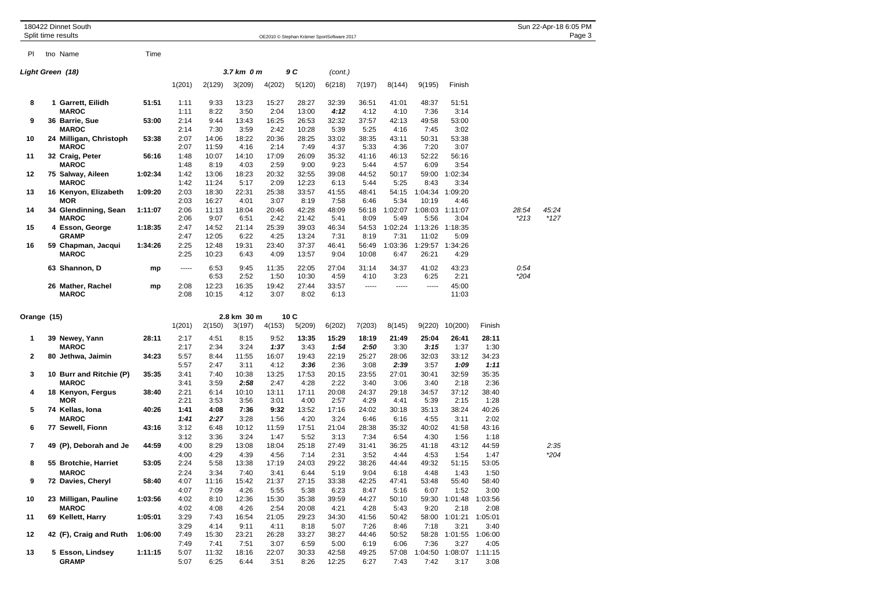| 180422 Dinnet South<br>Split time results |  |                                         | OE2010 © Stephan Krämer SportSoftware 2017 |                      |                        |                       |                       |                        |                       |                       |                       |                          |                                 |                       |                 |                 |
|-------------------------------------------|--|-----------------------------------------|--------------------------------------------|----------------------|------------------------|-----------------------|-----------------------|------------------------|-----------------------|-----------------------|-----------------------|--------------------------|---------------------------------|-----------------------|-----------------|-----------------|
| PI.                                       |  | tno Name                                | Time                                       |                      |                        |                       |                       |                        |                       |                       |                       |                          |                                 |                       |                 |                 |
| Light Green (18)                          |  |                                         |                                            |                      |                        | 3.7 km 0 m            |                       | 9 C                    | (cont.)               |                       |                       |                          |                                 |                       |                 |                 |
|                                           |  |                                         |                                            | 1(201)               | 2(129)                 | 3(209)                | 4(202)                | 5(120)                 | 6(218)                | 7(197)                | 8(144)                | 9(195)                   | Finish                          |                       |                 |                 |
| 8                                         |  | 1 Garrett, Eilidh<br><b>MAROC</b>       | 51:51                                      | 1:11<br>1:11         | 9:33<br>8:22           | 13:23<br>3:50         | 15:27<br>2:04         | 28:27<br>13:00         | 32:39<br>4:12         | 36:51<br>4:12         | 41:01<br>4:10         | 48:37<br>7:36            | 51:51<br>3:14                   |                       |                 |                 |
| 9                                         |  | 36 Barrie, Sue<br><b>MAROC</b>          | 53:00                                      | 2:14<br>2:14         | 9:44<br>7:30           | 13:43<br>3:59         | 16:25<br>2:42         | 26:53<br>10:28         | 32:32<br>5:39         | 37:57<br>5:25         | 42:13<br>4:16         | 49:58<br>7:45            | 53:00<br>3:02                   |                       |                 |                 |
| 10                                        |  | 24 Milligan, Christoph<br><b>MAROC</b>  | 53:38                                      | 2:07<br>2:07         | 14:06<br>11:59         | 18:22<br>4:16         | 20:36<br>2:14         | 28:25<br>7:49          | 33:02<br>4:37         | 38:35<br>5:33         | 43:11<br>4:36         | 50:31<br>7:20            | 53:38<br>3:07                   |                       |                 |                 |
| 11                                        |  | 32 Craig, Peter<br><b>MAROC</b>         | 56:16                                      | 1:48<br>1:48         | 10:07<br>8:19          | 14:10<br>4:03         | 17:09<br>2:59         | 26:09<br>9:00          | 35:32<br>9:23         | 41:16<br>5:44         | 46:13<br>4:57         | 52:22<br>6:09            | 56:16<br>3:54                   |                       |                 |                 |
| 12                                        |  | 75 Salway, Aileen<br><b>MAROC</b>       | 1:02:34                                    | 1:42<br>1:42         | 13:06<br>11:24         | 18:23<br>5:17         | 20:32<br>2:09         | 32:55<br>12:23         | 39:08<br>6:13         | 44:52<br>5:44         | 50:17<br>5:25         | 59:00<br>8:43            | 1:02:34<br>3:34                 |                       |                 |                 |
| 13                                        |  | 16 Kenyon, Elizabeth<br>MOR             | 1:09:20                                    | 2:03<br>2:03         | 18:30<br>16:27         | 22:31<br>4:01         | 25:38<br>3:07         | 33:57<br>8:19          | 41:55<br>7:58         | 48:41<br>6:46         | 54:15<br>5:34         | 1:04:34 1:09:20<br>10:19 | 4:46                            |                       |                 |                 |
| 14                                        |  | 34 Glendinning, Sean<br><b>MAROC</b>    | 1:11:07                                    | 2:06<br>2:06         | 11:13<br>9:07          | 18:04<br>6:51         | 20:46<br>2:42         | 42:28<br>21:42         | 48:09<br>5:41         | 56:18<br>8:09         | 1:02:07<br>5:49       | 1:08:03<br>5:56          | 1:11:07<br>3:04                 |                       | 28:54<br>$*213$ | 45:24<br>$*127$ |
| 15                                        |  | 4 Esson, George<br><b>GRAMP</b>         | 1:18:35                                    | 2:47<br>2:47         | 14:52<br>12:05         | 21:14<br>6:22         | 25:39<br>4:25         | 39:03<br>13:24         | 46:34<br>7:31         | 54:53<br>8:19         | 1:02:24<br>7:31       | 1:13:26<br>11:02         | 1:18:35<br>5:09                 |                       |                 |                 |
| 16                                        |  | 59 Chapman, Jacqui<br><b>MAROC</b>      | 1:34:26                                    | 2:25<br>2:25         | 12:48<br>10:23         | 19:31<br>6:43         | 23:40<br>4:09         | 37:37<br>13:57         | 46:41<br>9:04         | 56:49<br>10:08        | 1:03:36<br>6:47       | 1:29:57<br>26:21         | 1:34:26<br>4:29                 |                       |                 |                 |
|                                           |  | 63 Shannon, D                           | mp                                         | -----                | 6:53                   | 9:45                  | 11:35                 | 22:05                  | 27:04                 | 31:14                 | 34:37                 | 41:02                    | 43:23                           |                       | 0:54            |                 |
|                                           |  | 26 Mather, Rachel<br><b>MAROC</b>       | mp                                         | 2:08<br>2:08         | 6:53<br>12:23<br>10:15 | 2:52<br>16:35<br>4:12 | 1:50<br>19:42<br>3:07 | 10:30<br>27:44<br>8:02 | 4:59<br>33:57<br>6:13 | 4:10<br>-----         | 3:23<br>-----         | 6:25<br>1.1.1.1          | 2:21<br>45:00<br>11:03          |                       | $*204$          |                 |
|                                           |  |                                         |                                            |                      |                        |                       |                       |                        |                       |                       |                       |                          |                                 |                       |                 |                 |
| Orange (15)                               |  |                                         |                                            | 1(201)               | 2(150)                 | 2.8 km 30 m<br>3(197) | 4(153)                | 10C<br>5(209)          | 6(202)                | 7(203)                | 8(145)                | 9(220)                   | 10(200)                         | Finish                |                 |                 |
| 1                                         |  | 39 Newey, Yann                          | 28:11                                      | 2:17                 | 4:51                   | 8:15                  | 9:52                  | 13:35                  | 15:29                 | 18:19                 | 21:49                 | 25:04                    | 26:41                           | 28:11                 |                 |                 |
| 2                                         |  | <b>MAROC</b><br>80 Jethwa, Jaimin       | 34:23                                      | 2:17<br>5:57<br>5:57 | 2:34<br>8:44<br>2:47   | 3:24<br>11:55<br>3:11 | 1:37<br>16:07<br>4:12 | 3:43<br>19:43<br>3:36  | 1:54<br>22:19<br>2:36 | 2:50<br>25:27<br>3:08 | 3:30<br>28:06<br>2:39 | 3:15<br>32:03<br>3:57    | 1:37<br>33:12<br>1:09           | 1:30<br>34:23<br>1:11 |                 |                 |
| 3                                         |  | 10 Burr and Ritchie (P)<br><b>MAROC</b> | 35:35                                      | 3:41<br>3:41         | 7:40<br>3:59           | 10:38<br>2:58         | 13:25<br>2:47         | 17:53<br>4:28          | 20:15<br>2:22         | 23:55<br>3:40         | 27:01<br>3:06         | 30:41<br>3:40            | 32:59<br>2:18                   | 35:35<br>2:36         |                 |                 |
| 4                                         |  | 18 Kenyon, Fergus<br><b>MOR</b>         | 38:40                                      | 2:21<br>2:21         | 6:14<br>3:53           | 10:10<br>3:56         | 13:11<br>3:01         | 17:11<br>4:00          | 20:08<br>2:57         | 24:37<br>4:29         | 29:18<br>4:41         | 34:57<br>5:39            | 37:12<br>2:15                   | 38:40<br>1:28         |                 |                 |
| 5                                         |  | 74 Kellas, Iona<br><b>MAROC</b>         | 40:26                                      | 1:41<br>1:41         | 4:08<br>2:27           | 7:36<br>3:28          | 9:32<br>1:56          | 13:52<br>4:20          | 17:16<br>3:24         | 24:02<br>6:46         | 30:18<br>6:16         | 35:13<br>4:55            | 38:24<br>3:11                   | 40:26<br>2:02         |                 |                 |
| 6                                         |  | 77 Sewell, Fionn                        | 43:16                                      | 3:12<br>3:12         | 6:48<br>3:36           | 10:12<br>3:24         | 11:59<br>1:47         | 17:51<br>5:52          | 21:04<br>3:13         | 28:38<br>7:34         | 35:32<br>6:54         | 40:02<br>4:30            | 41:58<br>1:56                   | 43:16<br>1:18         |                 |                 |
| 7                                         |  | 49 (P), Deborah and Je                  | 44:59                                      | 4:00<br>4:00         | 8:29<br>4:29           | 13:08<br>4:39         | 18:04<br>4:56         | 25:18<br>7:14          | 27:49<br>2:31         | 31:41<br>3:52         | 36:25<br>4:44         | 41:18<br>4:53            | 43:12<br>1:54                   | 44:59<br>1:47         |                 | 2:35<br>*204    |
| 8                                         |  | 55 Brotchie, Harriet<br><b>MAROC</b>    | 53:05                                      | 2:24<br>2:24         | 5:58<br>3:34           | 13:38<br>7:40         | 17:19<br>3:41         | 24:03<br>6:44          | 29:22<br>5:19         | 38:26<br>9:04         | 44:44<br>6:18         | 49:32<br>4:48            | 51:15<br>1:43                   | 53:05<br>1:50         |                 |                 |
| 9                                         |  | 72 Davies, Cheryl                       | 58:40                                      | 4:07<br>4:07         | 11:16<br>7:09          | 15:42<br>4:26         | 21:37<br>5:55         | 27:15<br>5:38          | 33:38<br>6:23         | 42:25<br>8:47         | 47:41<br>5:16         | 53:48<br>6:07            | 55:40<br>1:52                   | 58:40<br>3:00         |                 |                 |
| 10                                        |  | 23 Milligan, Pauline<br><b>MAROC</b>    | 1:03:56                                    | 4:02<br>4:02         | 8:10<br>4:08           | 12:36<br>4:26         | 15:30<br>2:54         | 35:38<br>20:08         | 39:59<br>4:21         | 44:27<br>4:28         | 50:10<br>5:43         | 9:20                     | 59:30 1:01:48 1:03:56<br>2:18   | 2:08                  |                 |                 |
| 11                                        |  | 69 Kellett, Harry                       | 1:05:01                                    | 3:29<br>3:29         | 7:43<br>4:14           | 16:54<br>9:11         | 21:05<br>4:11         | 29:23<br>8:18          | 34:30<br>5:07         | 41:56<br>7:26         | 50:42<br>8:46         | 7:18                     | 58:00 1:01:21 1:05:01<br>3:21   | 3:40                  |                 |                 |
| 12                                        |  | 42 (F), Craig and Ruth                  | 1:06:00                                    | 7:49<br>7:49         | 15:30<br>7:41          | 23:21<br>7:51         | 26:28<br>3:07         | 33:27<br>6:59          | 38:27<br>5:00         | 44:46<br>6:19         | 50:52<br>6:06         | 7:36                     | 58:28 1:01:55 1:06:00<br>3:27   | 4:05                  |                 |                 |
| 13                                        |  | 5 Esson, Lindsey<br>GRAMP               | 1:11:15                                    | 5:07<br>5:07         | 11:32<br>6:25          | 18:16<br>6:44         | 22:07<br>3:51         | 30:33<br>8:26          | 42:58<br>12:25        | 49:25<br>6:27         | 57:08<br>7:43         | 7:42                     | 1:04:50 1:08:07 1:11:15<br>3:17 | 3:08                  |                 |                 |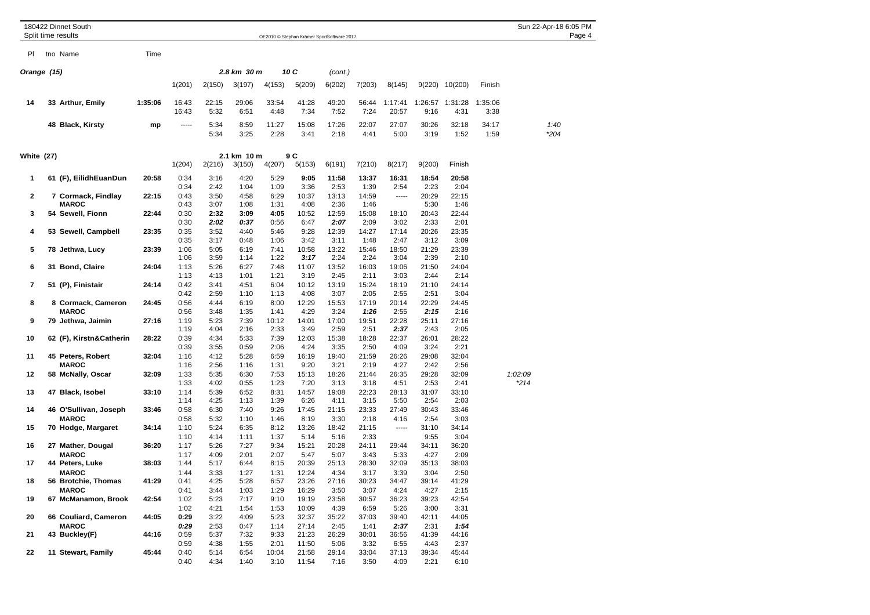|                   |             | 180422 Dinnet South<br>Split time results              |                | OE2010 © Stephan Krämer SportSoftware 2017 |                       |                      |                       |                         |                        |                        |                        |                        |                         |                 |         | Sun 22-Apr-18 6:05 PM<br>Page 4 |
|-------------------|-------------|--------------------------------------------------------|----------------|--------------------------------------------|-----------------------|----------------------|-----------------------|-------------------------|------------------------|------------------------|------------------------|------------------------|-------------------------|-----------------|---------|---------------------------------|
|                   |             |                                                        |                |                                            |                       |                      |                       |                         |                        |                        |                        |                        |                         |                 |         |                                 |
| PI.               |             | tno Name                                               | Time           |                                            |                       |                      |                       |                         |                        |                        |                        |                        |                         |                 |         |                                 |
|                   | Orange (15) |                                                        |                |                                            |                       | 2.8 km 30 m          | 10 C                  |                         | (cont.)                |                        |                        |                        |                         |                 |         |                                 |
|                   |             |                                                        |                | 1(201)                                     | 2(150)                | 3(197)               | 4(153)                | 5(209)                  | 6(202)                 | 7(203)                 | 8(145)                 |                        | 9(220) 10(200)          | Finish          |         |                                 |
| 14                |             | 33 Arthur, Emily                                       | 1:35:06        | 16:43<br>16:43                             | 22:15<br>5:32         | 29:06<br>6:51        | 33:54<br>4:48         | 41:28<br>7:34           | 49:20<br>7:52          | 56:44<br>7:24          | 1:17:41<br>20:57       | 9:16                   | 1:26:57 1:31:28<br>4:31 | 1:35:06<br>3:38 |         |                                 |
|                   |             | 48 Black, Kirsty                                       | mp             | -----                                      | 5:34<br>5:34          | 8:59<br>3:25         | 11:27<br>2:28         | 15:08<br>3:41           | 17:26<br>2:18          | 22:07<br>4:41          | 27:07<br>5:00          | 30:26<br>3:19          | 32:18<br>1:52           | 34:17<br>1:59   |         | 1:40<br>*204                    |
| <b>White (27)</b> |             |                                                        | 1(204)         | 2(216)                                     | 2.1 km 10 m<br>3(150) | 4(207)               | 9 C<br>5(153)         | 6(191)                  | 7(210)                 | 8(217)                 | 9(200)                 | Finish                 |                         |                 |         |                                 |
| 1                 |             | 61 (F), EilidhEuanDun                                  | 20:58          | 0:34<br>0:34                               | 3:16<br>2:42          | 4:20<br>1:04         | 5:29<br>1:09          | 9:05<br>3:36            | 11:58<br>2:53          | 13:37<br>1:39          | 16:31<br>2:54          | 18:54<br>2:23          | 20:58<br>2:04           |                 |         |                                 |
| 2                 |             | 7 Cormack, Findlay<br><b>MAROC</b>                     | 22:15          | 0:43<br>0:43                               | 3:50<br>3:07          | 4:58<br>1:08         | 6:29<br>1:31          | 10:37<br>4:08           | 13:13<br>2:36          | 14:59<br>1:46          | 1.1.1.1                | 20:29<br>5:30          | 22:15<br>1:46           |                 |         |                                 |
| 3                 |             | 54 Sewell, Fionn                                       | 22:44          | 0:30<br>0:30                               | 2:32<br>2:02          | 3:09<br>0:37         | 4:05<br>0:56          | 10:52<br>6:47           | 12:59<br>2:07          | 15:08<br>2:09          | 18:10<br>3:02          | 20:43<br>2:33          | 22:44<br>2:01           |                 |         |                                 |
| 4                 |             | 53 Sewell, Campbell                                    | 23:35          | 0:35<br>0:35                               | 3:52<br>3:17          | 4:40<br>0:48         | 5:46<br>1:06          | 9:28<br>3:42            | 12:39<br>3:11          | 14:27<br>1:48          | 17:14<br>2:47          | 20:26<br>3:12          | 23:35<br>3:09           |                 |         |                                 |
| 5                 |             | 78 Jethwa, Lucy                                        | 23:39          | 1:06<br>1:06                               | 5:05<br>3:59          | 6:19<br>1:14         | 7:41<br>1:22          | 10:58<br>3:17           | 13:22<br>2:24          | 15:46<br>2:24          | 18:50<br>3:04          | 21:29<br>2:39          | 23:39<br>2:10           |                 |         |                                 |
| 6                 |             | 31 Bond, Claire                                        | 24:04          | 1:13<br>1:13                               | 5:26<br>4:13          | 6:27<br>1:01         | 7:48<br>1:21          | 11:07<br>3:19           | 13:52<br>2:45          | 16:03<br>2:11          | 19:06<br>3:03          | 21:50<br>2:44          | 24:04<br>2:14           |                 |         |                                 |
| 7                 |             | 51 (P), Finistair                                      | 24:14          | 0:42<br>0:42                               | 3:41<br>2:59          | 4:51<br>1:10         | 6:04<br>1:13          | 10:12<br>4:08           | 13:19<br>3:07          | 15:24<br>2:05          | 18:19<br>2:55          | 21:10<br>2:51          | 24:14<br>3:04           |                 |         |                                 |
| 8                 |             | 8 Cormack, Cameron<br><b>MAROC</b>                     | 24:45          | 0:56<br>0:56                               | 4:44<br>3:48          | 6:19<br>1:35         | 8:00<br>1:41          | 12:29<br>4:29           | 15:53<br>3:24          | 17:19<br>1:26          | 20:14<br>2:55          | 22:29<br>2:15          | 24:45<br>2:16           |                 |         |                                 |
| 9                 |             | 79 Jethwa, Jaimin                                      | 27:16          | 1:19<br>1:19                               | 5:23<br>4:04          | 7:39<br>2:16         | 10:12<br>2:33         | 14:01<br>3:49           | 17:00<br>2:59          | 19:51<br>2:51          | 22:28<br>2:37          | 25:11<br>2:43          | 27:16<br>2:05           |                 |         |                                 |
| 10                |             | 62 (F), Kirstn&Catherin                                | 28:22          | 0:39<br>0:39                               | 4:34<br>3:55          | 5:33<br>0:59         | 7:39<br>2:06          | 12:03<br>4:24           | 15:38<br>3:35          | 18:28<br>2:50          | 22:37<br>4:09          | 26:01<br>3:24          | 28:22<br>2:21           |                 |         |                                 |
| 11<br>12          |             | 45 Peters, Robert<br><b>MAROC</b><br>58 McNally, Oscar | 32:04<br>32:09 | 1:16<br>1:16<br>1:33                       | 4:12<br>2:56<br>5:35  | 5:28<br>1:16<br>6:30 | 6:59<br>1:31<br>7:53  | 16:19<br>9:20<br>15:13  | 19:40<br>3:21<br>18:26 | 21:59<br>2:19<br>21:44 | 26:26<br>4:27<br>26:35 | 29:08<br>2:42<br>29:28 | 32:04<br>2:56<br>32:09  |                 | 1:02:09 |                                 |
| 13                |             | 47 Black, Isobel                                       | 33:10          | 1:33<br>1:14                               | 4:02<br>5:39          | 0:55<br>6:52         | 1:23<br>8:31          | 7:20<br>14:57           | 3:13<br>19:08          | 3:18<br>22:23          | 4:51<br>28:13          | 2:53<br>31:07          | 2:41<br>33:10           |                 | $*214$  |                                 |
| 14                |             | 46 O'Sullivan, Joseph                                  | 33:46          | 1:14<br>0:58                               | 4:25<br>6:30          | 1:13<br>7:40         | 1:39<br>9:26          | 6:26<br>17:45           | 4:11<br>21:15          | 3:15<br>23:33          | 5:50<br>27:49          | 2:54<br>30:43          | 2:03<br>33:46           |                 |         |                                 |
| 15                |             | <b>MAROC</b><br>70 Hodge, Margaret                     | 34:14          | 0:58<br>1:10                               | 5:32<br>5:24          | 1:10<br>6:35         | 1:46<br>8:12          | 8:19<br>13:26           | 3:30<br>18:42          | 2:18<br>21:15          | 4:16<br>-----          | 2:54<br>31:10          | 3:03<br>34:14           |                 |         |                                 |
| 16                |             | 27 Mather, Dougal                                      | 36:20          | 1:10<br>1:17                               | 4:14<br>5:26          | 1:11<br>7:27         | 1:37<br>9:34          | 5:14<br>15:21           | 5:16<br>20:28          | 2:33<br>24:11          | 29:44                  | 9:55<br>34:11          | 3:04<br>36:20           |                 |         |                                 |
| 17                |             | <b>MAROC</b><br>44 Peters, Luke                        | 38:03          | 1:17<br>1:44                               | 4:09<br>5:17          | 2:01<br>6:44         | 2:07<br>8:15          | 5:47<br>20:39           | 5:07<br>25:13          | 3:43<br>28:30          | 5:33<br>32:09          | 4:27<br>35:13          | 2:09<br>38:03           |                 |         |                                 |
| 18                |             | <b>MAROC</b><br>56 Brotchie, Thomas                    | 41:29          | 1:44<br>0:41                               | 3:33<br>4:25          | 1:27<br>5:28         | 1:31<br>6:57          | 12:24<br>23:26          | 4:34<br>27:16          | 3:17<br>30:23          | 3:39<br>34:47          | 3:04<br>39:14          | 2:50<br>41:29           |                 |         |                                 |
| 19                |             | <b>MAROC</b><br>67 McManamon, Brook                    | 42:54          | 0:41<br>1:02                               | 3:44<br>5:23          | 1:03<br>7:17         | 1:29<br>9:10          | 16:29<br>19:19          | 3:50<br>23:58          | 3:07<br>30:57          | 4:24<br>36:23          | 4:27<br>39:23          | 2:15<br>42:54           |                 |         |                                 |
| 20                |             | 66 Couliard, Cameron                                   | 44:05          | 1:02<br>0:29                               | 4:21<br>3:22          | 1:54<br>4:09         | 1:53<br>5:23          | 10:09<br>32:37          | 4:39<br>35:22          | 6:59<br>37:03          | 5:26<br>39:40          | 3:00<br>42:11          | 3:31<br>44:05           |                 |         |                                 |
| 21                |             | <b>MAROC</b><br>43 Buckley(F)                          | 44:16          | 0:29<br>0:59                               | 2:53<br>5:37          | 0:47<br>7:32         | 1:14<br>9:33          | 27:14<br>21:23          | 2:45<br>26:29          | 1:41<br>30:01          | 2:37<br>36:56          | 2:31<br>41:39          | 1:54<br>44:16           |                 |         |                                 |
| 22                |             | 11 Stewart, Family                                     | 45:44          | 0:59<br>0:40<br>0:40                       | 4:38<br>5:14<br>4:34  | 1:55<br>6:54<br>1:40 | 2:01<br>10:04<br>3:10 | 11:50<br>21:58<br>11:54 | 5:06<br>29:14<br>7:16  | 3:32<br>33:04<br>3:50  | 6:55<br>37:13<br>4:09  | 4:43<br>39:34<br>2:21  | 2:37<br>45:44<br>6:10   |                 |         |                                 |